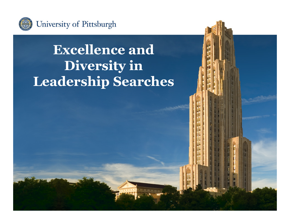

### **Excellence and Diversity in Leadership Searches**

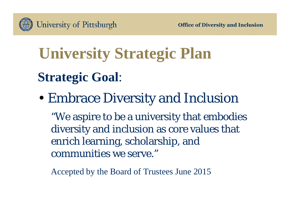

# **University Strategic Plan Strategic Goal**:

•Embrace Diversity and Inclusion

"We aspire to be a university that embodies diversity and inclusion as core values that enrich learning, scholarship, and communities we serve."

Accepted by the Board of Trustees June 2015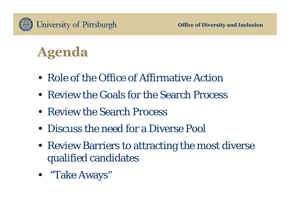

### **Agenda**

- Role of the Office of Affirmative Action
- Review the Goals for the Search Process
- Review the Search Process
- Discuss the need for a Diverse Pool
- Review Barriers to attracting the most diverse qualified candidates
- "Take Aways"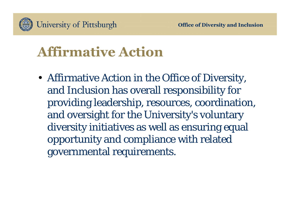

# **Affirmative Action**

• Affirmative Action in the Office of Diversity, and Inclusion has overall responsibility for providing leadership, resources, coordination, and oversight for the University's voluntary diversity initiatives as well as ensuring equal opportunity and compliance with related governmental requirements.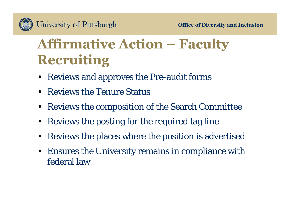# **Affirmative Action – Faculty Recruiting**

- Reviews and approves the Pre-audit forms
- •Reviews the Tenure Status
- $\bullet$ Reviews the composition of the Search Committee
- $\bullet$ Reviews the posting for the required tag line
- •Reviews the places where the position is advertised
- • Ensures the University remains in compliance with federal law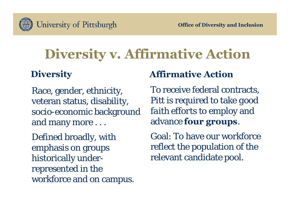

# **Diversity v. Affirmative Action**

#### **Diversity**

Race, gender, ethnicity, veteran status, disability, socio-economic background and many more . . .

Defined broadly, with emphasis on groups historically underrepresented in the workforce and on campus.

#### **Affirmative Action**

To receive federal contracts, Pitt is required to take *good faith efforts* to employ and advance **four groups**.

Goal: To have our workforce reflect the population of the relevant candidate pool.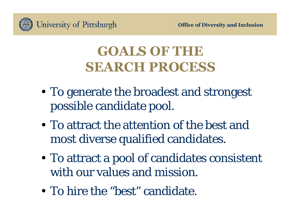

### **GOALS OF THE SEARCH PROCESS**

- To generate the broadest and strongest possible candidate pool.
- To attract the attention of the best and most diverse qualified candidates.
- To attract a pool of candidates consistent with our values and mission.
- To hire the "best" candidate.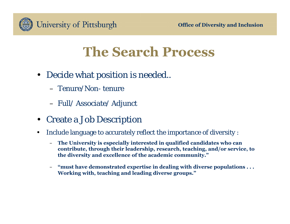

#### **The Search Process**

- Decide what position is needed..
	- Tenure/Non- tenure
	- Full/ Associate/ Adjunct
- $\bullet$ Create a Job Description
- • Include language to accurately reflect the importance of diversity :
	- **The University is especially interested in qualified candidates who can contribute, through their leadership, research, teaching, and/or service, to the diversity and excellence of the academic community."**
	- **"must have demonstrated expertise in dealing with diverse populations . . . Working with, teaching and leading diverse groups."**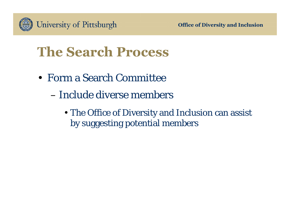

### **The Search Process**

- Form a Search Committee
	- –Include diverse members
		- The Office of Diversity and Inclusion can assist by suggesting potential members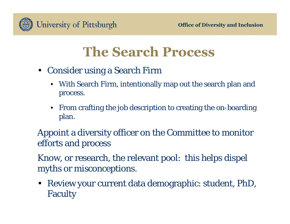

#### **The Search Process**

- Consider using a Search Firm
	- With Search Firm, intentionally map out the search plan and process.
	- From crafting the job description to creating the on-boarding plan.

Appoint a diversity officer on the Committee to monitor efforts and process

Know, or research, the relevant pool: this helps dispel myths or misconceptions.

• Review your current data demographic: student, PhD, Faculty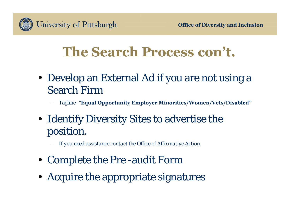

#### **The Search Process con't.**

- Develop an External Ad if you are not using a Search Firm
	- Tagline -"**Equal Opportunity Employer Minorities/Women/Vets/Disabled"**
- Identify Diversity Sites to advertise the position.

– *If you need assistance contact the Office of Affirmative Action*

- Complete the Pre -audit Form
- Acquire the appropriate signatures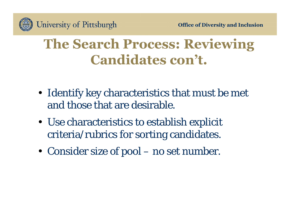### **The Search Process: Reviewing Candidates con't.**

- Identify key characteristics that must be met and those that are desirable.
- Use characteristics to establish explicit criteria/rubrics for sorting candidates.
- Consider size of pool no set number.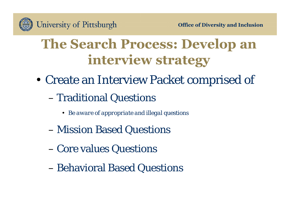### **The Search Process: Develop an interview strategy**

• Create an Interview Packet comprised of

#### –Traditional Questions

- *Be aware of appropriate and illegal questions*
- Mission Based Questions
- –Core values Questions
- –Behavioral Based Questions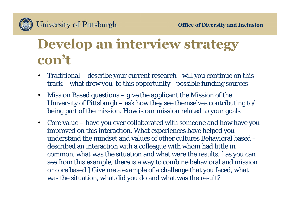

### **Develop an interview strategy con't**

- • Traditional – describe your current research –will you continue on this track – what drew you to this opportunity –possible funding sources
- $\bullet$  Mission Based questions – give the applicant the Mission of the University of Pittsburgh – ask how they see themselves contributing to/ being part of the mission. How is our mission related to your goals
- • Core value – have you ever collaborated with someone and how have you improved on this interaction. What experiences have helped you understand the mindset and values of other cultures Behavioral based –described an interaction with a colleague with whom had little in common, what was the situation and what were the results. [ as you can see from this example, there is a way to combine behavioral and mission or core based ] Give me a example of a challenge that you faced, what was the situation, what did you do and what was the result?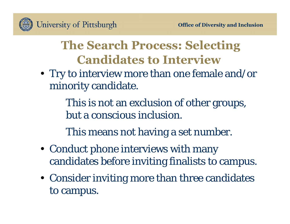

#### **The Search Process: Selecting Candidates to Interview**

• Try to interview more than one female and/or minority candidate.

> This is not an exclusion of other groups, but a conscious inclusion.

This means not having a set number.

- Conduct phone interviews with many candidates before inviting finalists to campus.
- Consider inviting more than three candidates to campus.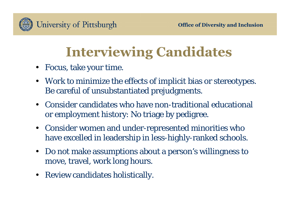

# **Interviewing Candidates**

- Focus, take your time.
- Work to minimize the effects of implicit bias or stereotypes. Be careful of unsubstantiated prejudgments.
- • Consider candidates who have non-traditional educational or employment history: No triage by pedigree.
- $\bullet$  Consider women and under-represented minorities who have excelled in leadership in less-highly-ranked schools.
- $\bullet$  Do not make assumptions about a person's willingness to move, travel, work long hours.
- Review candidates holistically.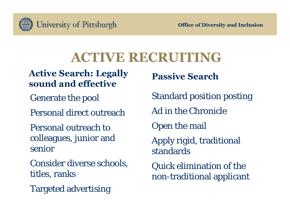

#### **ACTIVE RECRUITING**

**Active Search: Legally sound and effective**

Generate the pool

Personal direct outreach

Personal outreach to colleagues, junior and senior

Consider diverse schools, titles, ranks

Targeted advertising

**Passive Search**

Standard position posting

Ad in the Chronicle

Open the mail

Apply rigid, traditional standards

Quick elimination of the non-traditional applicant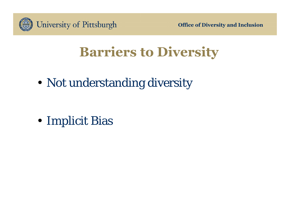

**Office of Diversity and Inclusion**

### **Barriers to Diversity**

• Not understanding diversity

• Implicit Bias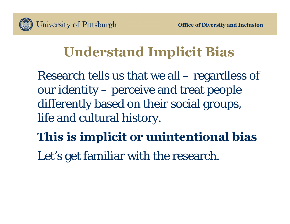

### **Understand Implicit Bias**

Research tells us that we all – regardless of our identity – perceive and treat people differently based on their social groups, life and cultural history.

**This is implicit or unintentional bias** 

Let's get familiar with the research.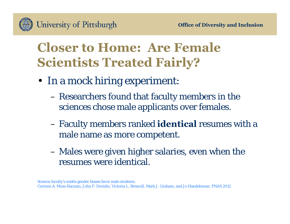

#### **Closer to Home: Are Female Scientists Treated Fairly?**

- In a mock hiring experiment:
	- Researchers found that faculty members in the sciences chose male applicants over females.
	- Faculty members ranked **identical** resumes with a male name as more competent.
	- Males were given higher salaries, even when the resumes were identical.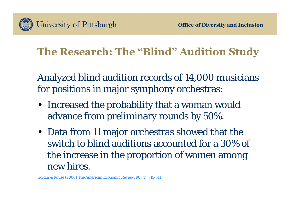

#### **The Research: The "Blind" Audition Study**

Analyzed blind audition records of 14,000 musicians for positions in major symphony orchestras:

- Increased the probability that a woman would advance from preliminary rounds by 50%.
- Data from 11 major orchestras showed that the switch to blind auditions accounted for a 30% of the increase in the proportion of women among new hires.

Goldin & Rouse (2000) *The American Economic Review, 90 (4). 715-741*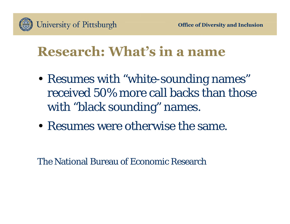

#### **Research: What's in a name**

- Resumes with "white-sounding names" received 50% more call backs than those with "black sounding" names.
- Resumes were otherwise the same.

The National Bureau of Economic Research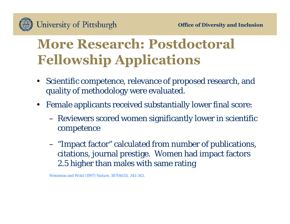

### **More Research: Postdoctoral Fellowship Applications**

- $\bullet$  Scientific competence, relevance of proposed research, and quality of methodology were evaluated.
- $\bullet$  Female applicants received substantially lower final score:
	- Reviewers scored women significantly lower in scientific competence
	- "Impact factor" calculated from number of publications, citations, journal prestige. Women had impact factors 2.5 higher than males with same rating

Wenneras and Wold (1997) *Nature*, 387(6631), 341-343.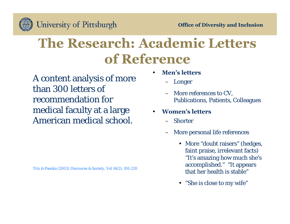

### **The Research: Academic Letters of Reference**

A content analysis of more than 300 letters of recommendation for medical faculty at a large American medical school.

- • **Men's letters**
	- Longer
	- More references to CV, Publications, Patients, Colleagues
- • **Women's letters**
	- –**Shorter**
	- More personal life references
		- More "doubt raisers" (hedges, faint praise, irrelevant facts) "It's amazing how much she's accomplished." "It appears that her health is stable"
		- "She is close to my wife"

Trix & Psenka (2003) *Discoures & Society*, Vol 14(2), 191-220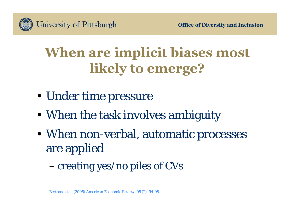

# **When are implicit biases most likely to emerge?**

- Under time pressure
- When the task involves ambiguity
- When non-verbal, automatic processes are applied
	- –creating yes/no piles of CVs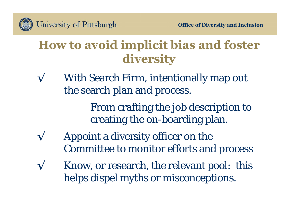

#### **How to avoid implicit bias and foster diversity**

**√** With Search Firm, intentionally map out the search plan and process.

> From crafting the job description to creating the on-boarding plan.

- **√** Appoint a diversity officer on the Committee to monitor efforts and process
- Know, or research, the relevant pool: this helps dispel myths or misconceptions.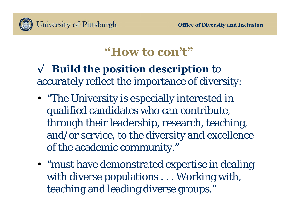

#### **"How to con't"**

#### **√ Build the position description** to accurately reflect the importance of diversity:

- "The University is especially interested in qualified candidates who can contribute, through their leadership, research, teaching, and/or service, to the diversity and excellence of the academic community."
- "must have demonstrated expertise in dealing with diverse populations . . . Working with, teaching and leading diverse groups."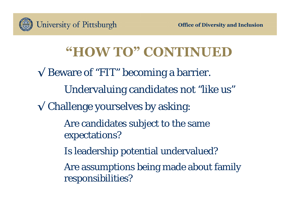

### **"HOW TO" CONTINUED**

**√** Beware of "FIT" becoming a barrier. Undervaluing candidates not "like us" **√** Challenge yourselves by asking: Are candidates subject to the same expectations? Is leadership potential undervalued? Are assumptions being made about family responsibilities?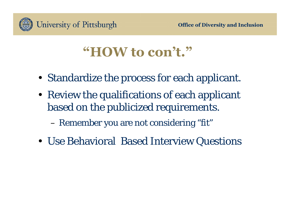

#### **"HOW to con't."**

- Standardize the process for each applicant.
- Review the qualifications of each applicant based on the publicized requirements.
	- Remember you are not considering "fit"
- Use Behavioral Based Interview Questions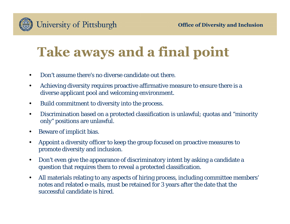

# **Take aways and a final point**

- •Don't assume there's no diverse candidate out there.
- $\bullet$  Achieving diversity requires proactive affirmative measure to ensure there is a diverse applicant pool and welcoming environment.
- $\bullet$ Build commitment to diversity into the process.
- • Discrimination based on a protected classification is unlawful; quotas and "minority only" positions are unlawful.
- •Beware of implicit bias.
- $\bullet$  Appoint a diversity officer to keep the group focused on proactive measures to promote diversity and inclusion.
- $\bullet$  Don't even give the appearance of discriminatory intent by asking a candidate a question that requires them to reveal a protected classification.
- $\bullet$  All materials relating to any aspects of hiring process, including committee members' notes and related e-mails, must be retained for 3 years after the date that the successful candidate is hired.